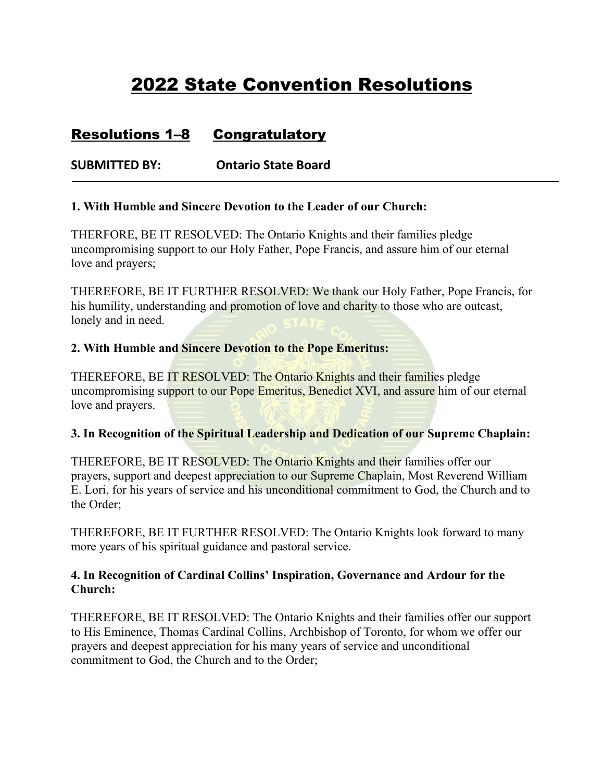# 2022 State Convention Resolutions

## Resolutions 1–8 Congratulatory

**SUBMITTED BY: Ontario State Board**

#### **1. With Humble and Sincere Devotion to the Leader of our Church:**

THERFORE, BE IT RESOLVED: The Ontario Knights and their families pledge uncompromising support to our Holy Father, Pope Francis, and assure him of our eternal love and prayers;

THEREFORE, BE IT FURTHER RESOLVED: We thank our Holy Father, Pope Francis, for his humility, understanding and promotion of love and charity to those who are outcast, lonely and in need.

#### **2. With Humble and Sincere Devotion to the Pope Emeritus:**

THEREFORE, BE IT RESOLVED: The Ontario Knights and their families pledge uncompromising support to our Pope Emeritus, Benedict XVI, and assure him of our eternal love and prayers.

#### **3. In Recognition of the Spiritual Leadership and Dedication of our Supreme Chaplain:**

THEREFORE, BE IT RESOLVED: The Ontario Knights and their families offer our prayers, support and deepest appreciation to our Supreme Chaplain, Most Reverend William E. Lori, for his years of service and his unconditional commitment to God, the Church and to the Order;

THEREFORE, BE IT FURTHER RESOLVED: The Ontario Knights look forward to many more years of his spiritual guidance and pastoral service.

#### **4. In Recognition of Cardinal Collins' Inspiration, Governance and Ardour for the Church:**

THEREFORE, BE IT RESOLVED: The Ontario Knights and their families offer our support to His Eminence, Thomas Cardinal Collins, Archbishop of Toronto, for whom we offer our prayers and deepest appreciation for his many years of service and unconditional commitment to God, the Church and to the Order;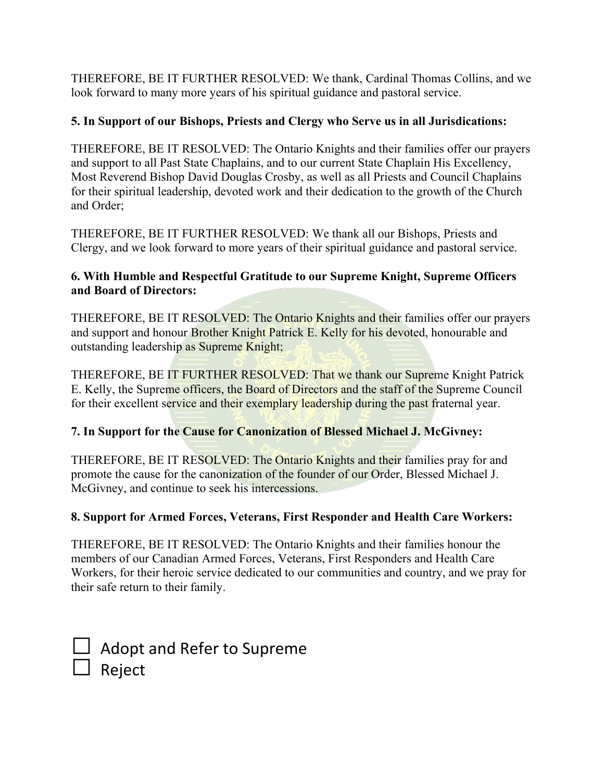THEREFORE, BE IT FURTHER RESOLVED: We thank, Cardinal Thomas Collins, and we look forward to many more years of his spiritual guidance and pastoral service.

### **5. In Support of our Bishops, Priests and Clergy who Serve us in all Jurisdications:**

THEREFORE, BE IT RESOLVED: The Ontario Knights and their families offer our prayers and support to all Past State Chaplains, and to our current State Chaplain His Excellency, Most Reverend Bishop David Douglas Crosby, as well as all Priests and Council Chaplains for their spiritual leadership, devoted work and their dedication to the growth of the Church and Order;

THEREFORE, BE IT FURTHER RESOLVED: We thank all our Bishops, Priests and Clergy, and we look forward to more years of their spiritual guidance and pastoral service.

#### **6. With Humble and Respectful Gratitude to our Supreme Knight, Supreme Officers and Board of Directors:**

THEREFORE, BE IT RESOLVED: The Ontario Knights and their families offer our prayers and support and honour Brother Knight Patrick E. Kelly for his devoted, honourable and outstanding leadership as Supreme Knight;

THEREFORE, BE IT FURTHER RESOLVED: That we thank our Supreme Knight Patrick E. Kelly, the Supreme officers, the Board of Directors and the staff of the Supreme Council for their excellent service and their exemplary leadership during the past fraternal year.

### **7. In Support for the Cause for Canonization of Blessed Michael J. McGivney:**

THEREFORE, BE IT RESOLVED: The Ontario Knights and their families pray for and promote the cause for the canonization of the founder of our Order, Blessed Michael J. McGivney, and continue to seek his intercessions.

### **8. Support for Armed Forces, Veterans, First Responder and Health Care Workers:**

THEREFORE, BE IT RESOLVED: The Ontario Knights and their families honour the members of our Canadian Armed Forces, Veterans, First Responders and Health Care Workers, for their heroic service dedicated to our communities and country, and we pray for their safe return to their family.

□ Adopt and Refer to Supreme  $\Box$  Reject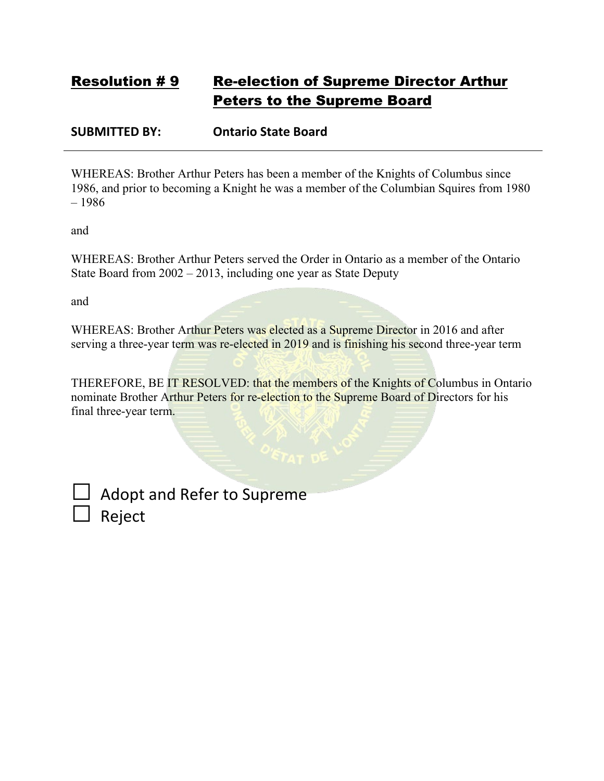## Resolution # 9 Re-election of Supreme Director Arthur Peters to the Supreme Board

**SUBMITTED BY: Ontario State Board**

WHEREAS: Brother Arthur Peters has been a member of the Knights of Columbus since 1986, and prior to becoming a Knight he was a member of the Columbian Squires from 1980 – 1986

and

WHEREAS: Brother Arthur Peters served the Order in Ontario as a member of the Ontario State Board from 2002 – 2013, including one year as State Deputy

and

WHEREAS: Brother Arthur Peters was elected as a Supreme Director in 2016 and after serving a three-year term was re-elected in 2019 and is finishing his second three-year term

THEREFORE, BE IT RESOLVED: that the members of the Knights of Columbus in Ontario nominate Brother Arthur Peters for re-election to the Supreme Board of Directors for his final three-year term.

Adopt and Refer to Supreme □ Reject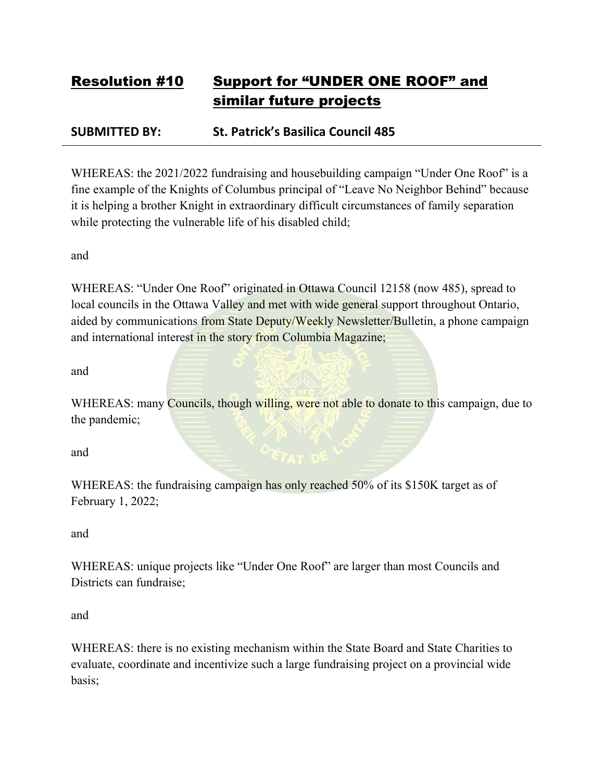# Resolution #10 Support for "UNDER ONE ROOF" and similar future projects

## **SUBMITTED BY: St. Patrick's Basilica Council 485**

WHEREAS: the 2021/2022 fundraising and housebuilding campaign "Under One Roof" is a fine example of the Knights of Columbus principal of "Leave No Neighbor Behind" because it is helping a brother Knight in extraordinary difficult circumstances of family separation while protecting the vulnerable life of his disabled child;

and

WHEREAS: "Under One Roof" originated in Ottawa Council 12158 (now 485), spread to local councils in the Ottawa Valley and met with wide general support throughout Ontario, aided by communications from State Deputy/Weekly Newsletter/Bulletin, a phone campaign and international interest in the story from Columbia Magazine;

and

WHEREAS: many Councils, though willing, were not able to donate to this campaign, due to the pandemic;

and

WHEREAS: the fundraising campaign has only reached 50% of its \$150K target as of February 1, 2022;

and

WHEREAS: unique projects like "Under One Roof" are larger than most Councils and Districts can fundraise;

and

WHEREAS: there is no existing mechanism within the State Board and State Charities to evaluate, coordinate and incentivize such a large fundraising project on a provincial wide basis;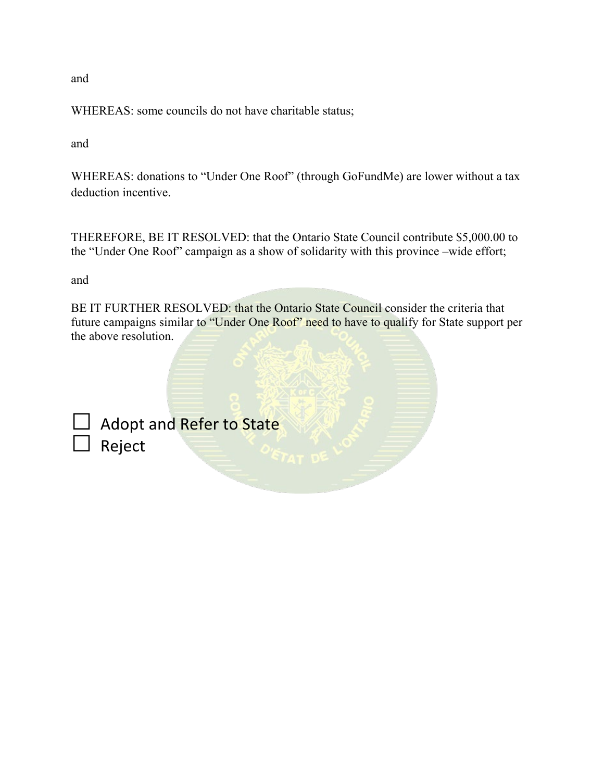and

WHEREAS: some councils do not have charitable status;

and

WHEREAS: donations to "Under One Roof" (through GoFundMe) are lower without a tax deduction incentive.

THEREFORE, BE IT RESOLVED: that the Ontario State Council contribute \$5,000.00 to the "Under One Roof" campaign as a show of solidarity with this province –wide effort;

and

BE IT FURTHER RESOLVED: that the Ontario State Council consider the criteria that future campaigns similar to "Under One Roof" need to have to qualify for State support per the above resolution.

| $\Box$ Adopt and Refer to State |
|---------------------------------|
| $\Box$ Reject                   |
|                                 |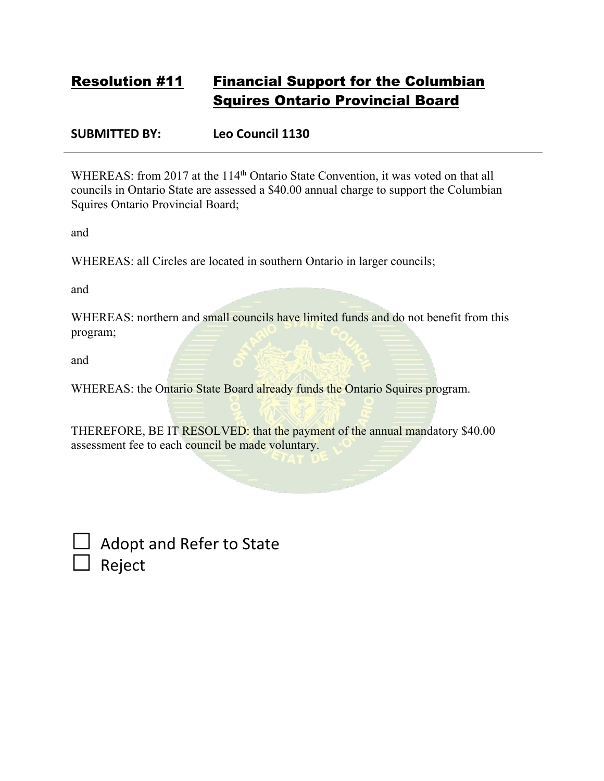## Resolution #11 Financial Support for the Columbian Squires Ontario Provincial Board

**SUBMITTED BY: Leo Council 1130**

WHEREAS: from 2017 at the 114<sup>th</sup> Ontario State Convention, it was voted on that all councils in Ontario State are assessed a \$40.00 annual charge to support the Columbian Squires Ontario Provincial Board;

and

WHEREAS: all Circles are located in southern Ontario in larger councils;

and

WHEREAS: northern and small councils have limited funds and do not benefit from this program;

and

WHEREAS: the Ontario State Board already funds the Ontario Squires program.

THEREFORE, BE IT RESOLVED: that the payment of the annual mandatory \$40.00 assessment fee to each council be made voluntary.

| $\Box$ Adopt and Refer to State |
|---------------------------------|
| $\Box$ Reject                   |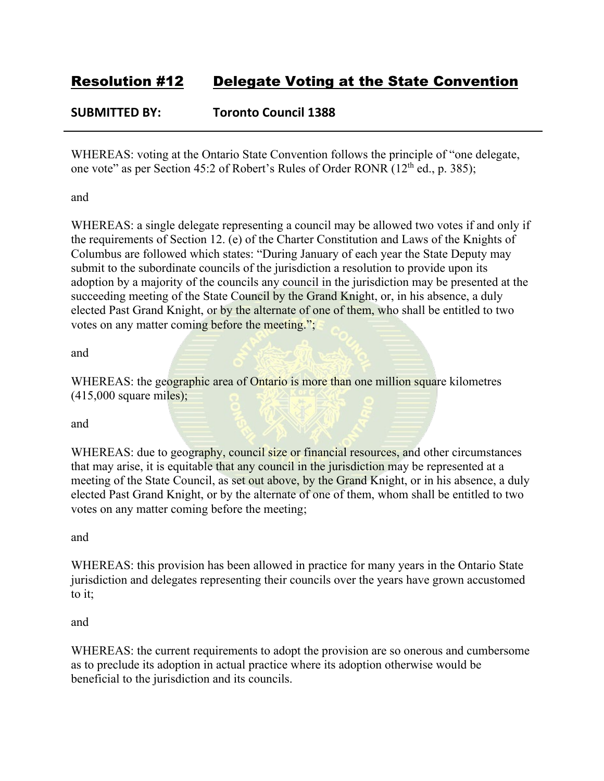## **SUBMITTED BY: Toronto Council 1388**

WHEREAS: voting at the Ontario State Convention follows the principle of "one delegate, one vote" as per Section 45:2 of Robert's Rules of Order RONR (12<sup>th</sup> ed., p. 385);

and

WHEREAS: a single delegate representing a council may be allowed two votes if and only if the requirements of Section 12. (e) of the Charter Constitution and Laws of the Knights of Columbus are followed which states: "During January of each year the State Deputy may submit to the subordinate councils of the jurisdiction a resolution to provide upon its adoption by a majority of the councils any council in the jurisdiction may be presented at the succeeding meeting of the State Council by the Grand Knight, or, in his absence, a duly elected Past Grand Knight, or by the alternate of one of them, who shall be entitled to two votes on any matter coming before the meeting.";

and

WHEREAS: the geographic area of Ontario is more than one million square kilometres (415,000 square miles);

and

WHEREAS: due to geography, council size or financial resources, and other circumstances that may arise, it is equitable that any council in the jurisdiction may be represented at a meeting of the State Council, as set out above, by the Grand Knight, or in his absence, a duly elected Past Grand Knight, or by the alternate of one of them, whom shall be entitled to two votes on any matter coming before the meeting;

and

WHEREAS: this provision has been allowed in practice for many years in the Ontario State jurisdiction and delegates representing their councils over the years have grown accustomed to it;

and

WHEREAS: the current requirements to adopt the provision are so onerous and cumbersome as to preclude its adoption in actual practice where its adoption otherwise would be beneficial to the jurisdiction and its councils.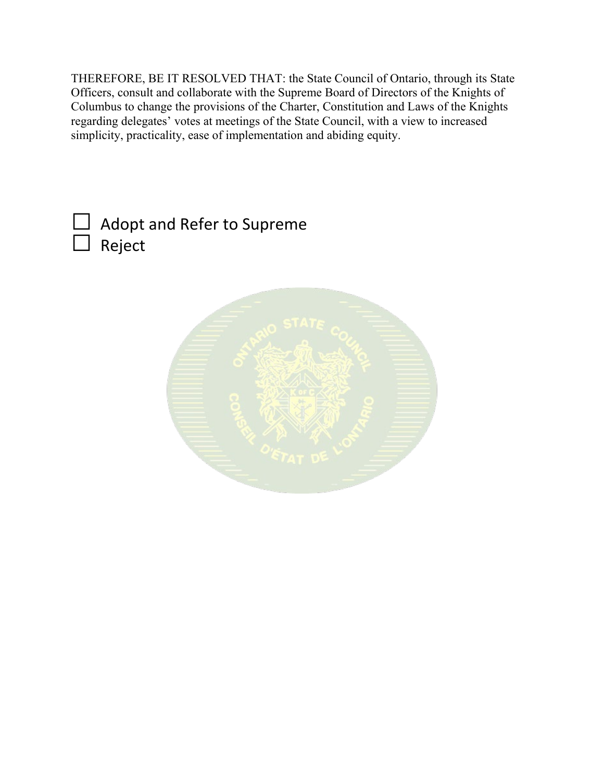THEREFORE, BE IT RESOLVED THAT: the State Council of Ontario, through its State Officers, consult and collaborate with the Supreme Board of Directors of the Knights of Columbus to change the provisions of the Charter, Constitution and Laws of the Knights regarding delegates' votes at meetings of the State Council, with a view to increased simplicity, practicality, ease of implementation and abiding equity.

| $\Box$ Adopt and Refer to Supreme |  |
|-----------------------------------|--|
| $\Box$ Reject                     |  |

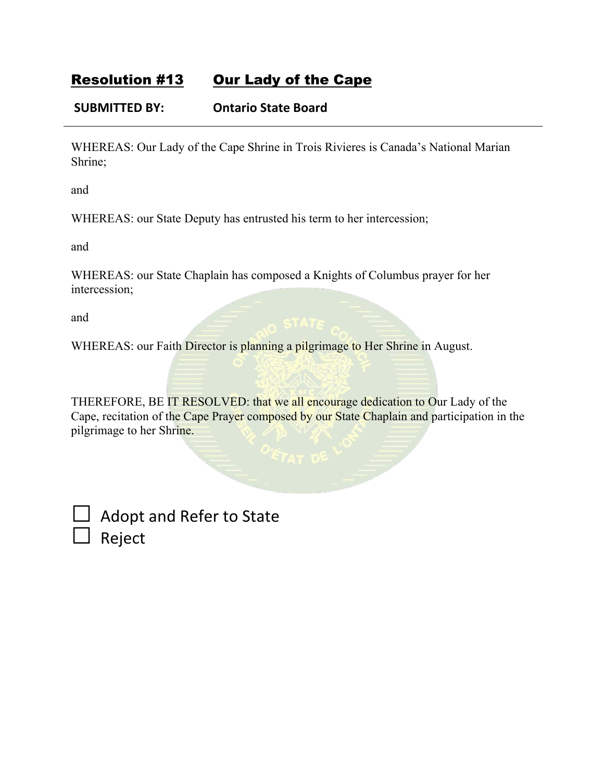## Resolution #13 Our Lady of the Cape

### **SUBMITTED BY: Ontario State Board**

WHEREAS: Our Lady of the Cape Shrine in Trois Rivieres is Canada's National Marian Shrine;

and

WHEREAS: our State Deputy has entrusted his term to her intercession;

and

WHEREAS: our State Chaplain has composed a Knights of Columbus prayer for her intercession;

and

WHEREAS: our Faith Director is planning a pilgrimage to Her Shrine in August.

THEREFORE, BE IT RESOLVED: that we all encourage dedication to Our Lady of the Cape, recitation of the Cape Prayer composed by our State Chaplain and participation in the pilgrimage to her Shrine.

Adopt and Refer to State □ Reject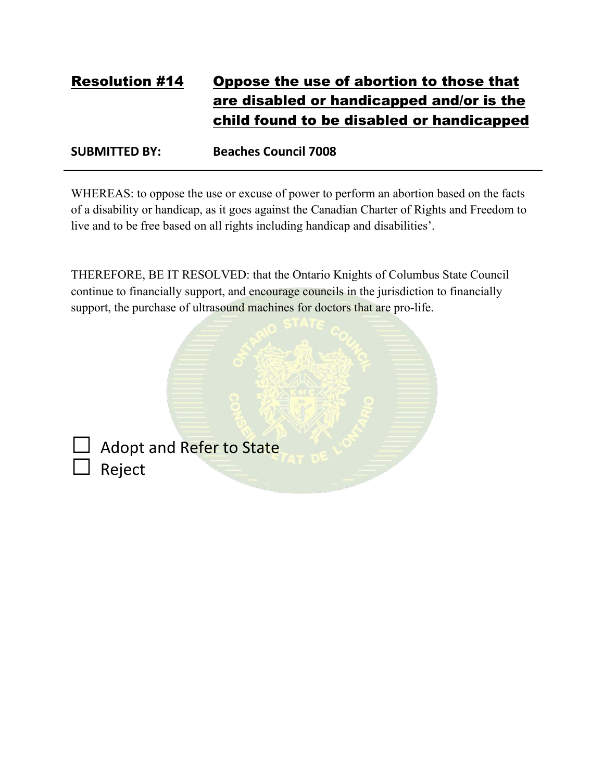# Resolution #14 Oppose the use of abortion to those that are disabled or handicapped and/or is the child found to be disabled or handicapped

**SUBMITTED BY: Beaches Council 7008**

WHEREAS: to oppose the use or excuse of power to perform an abortion based on the facts of a disability or handicap, as it goes against the Canadian Charter of Rights and Freedom to live and to be free based on all rights including handicap and disabilities'.

THEREFORE, BE IT RESOLVED: that the Ontario Knights of Columbus State Council continue to financially support, and encourage councils in the jurisdiction to financially support, the purchase of ultrasound machines for doctors that are pro-life.

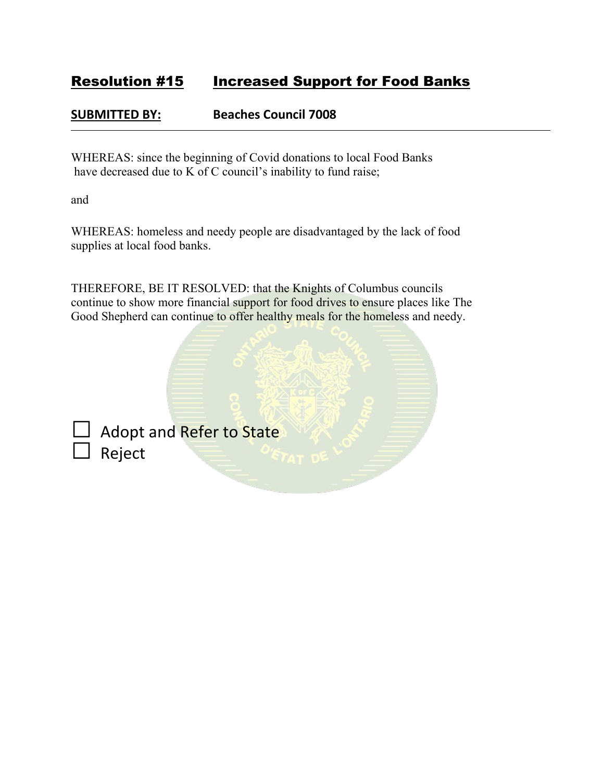## Resolution #15 Increased Support for Food Banks

### **SUBMITTED BY: Beaches Council 7008**

WHEREAS: since the beginning of Covid donations to local Food Banks have decreased due to K of C council's inability to fund raise;

and

WHEREAS: homeless and needy people are disadvantaged by the lack of food supplies at local food banks.

THEREFORE, BE IT RESOLVED: that the Knights of Columbus councils continue to show more financial support for food drives to ensure places like The Good Shepherd can continue to offer healthy meals for the homeless and needy.

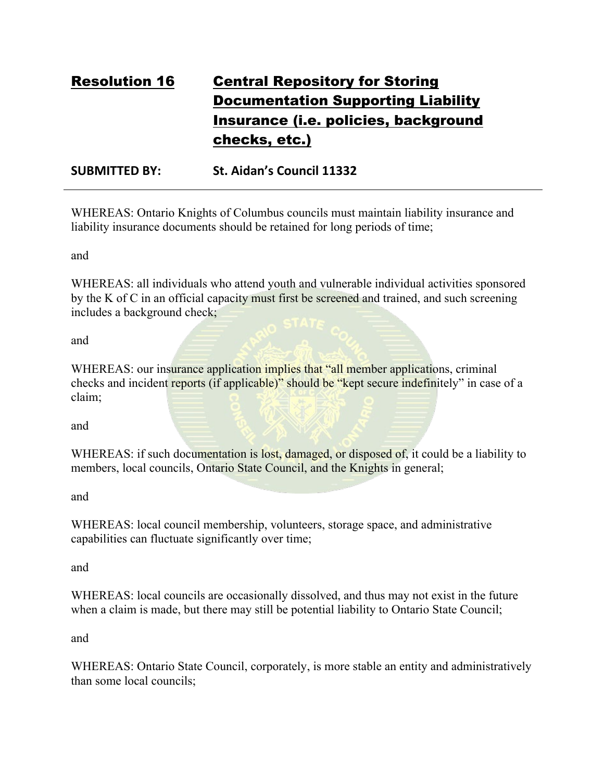# Resolution 16 Central Repository for Storing Documentation Supporting Liability Insurance (i.e. policies, background checks, etc.)

**SUBMITTED BY: St. Aidan's Council 11332**

WHEREAS: Ontario Knights of Columbus councils must maintain liability insurance and liability insurance documents should be retained for long periods of time;

and

WHEREAS: all individuals who attend youth and vulnerable individual activities sponsored by the K of C in an official capacity must first be screened and trained, and such screening includes a background check;

and

WHEREAS: our insurance application implies that "all member applications, criminal checks and incident reports (if applicable)" should be "kept secure indefinitely" in case of a claim;

and

WHEREAS: if such documentation is lost, damaged, or disposed of, it could be a liability to members, local councils, Ontario State Council, and the Knights in general;

and

WHEREAS: local council membership, volunteers, storage space, and administrative capabilities can fluctuate significantly over time;

and

WHEREAS: local councils are occasionally dissolved, and thus may not exist in the future when a claim is made, but there may still be potential liability to Ontario State Council;

and

WHEREAS: Ontario State Council, corporately, is more stable an entity and administratively than some local councils;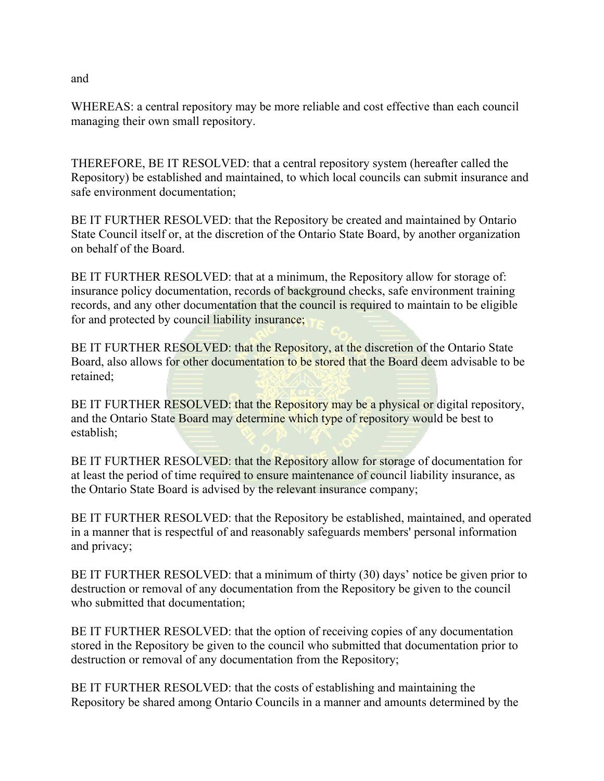WHEREAS: a central repository may be more reliable and cost effective than each council managing their own small repository.

THEREFORE, BE IT RESOLVED: that a central repository system (hereafter called the Repository) be established and maintained, to which local councils can submit insurance and safe environment documentation;

BE IT FURTHER RESOLVED: that the Repository be created and maintained by Ontario State Council itself or, at the discretion of the Ontario State Board, by another organization on behalf of the Board.

BE IT FURTHER RESOLVED: that at a minimum, the Repository allow for storage of: insurance policy documentation, records of background checks, safe environment training records, and any other documentation that the council is required to maintain to be eligible for and protected by council liability insurance;

BE IT FURTHER RESOLVED: that the Repository, at the discretion of the Ontario State Board, also allows for other documentation to be stored that the Board deem advisable to be retained;

BE IT FURTHER RESOLVED: that the Repository may be a physical or digital repository, and the Ontario State Board may determine which type of repository would be best to establish;

BE IT FURTHER RESOLVED: that the Repository allow for storage of documentation for at least the period of time required to ensure maintenance of council liability insurance, as the Ontario State Board is advised by the relevant insurance company;

BE IT FURTHER RESOLVED: that the Repository be established, maintained, and operated in a manner that is respectful of and reasonably safeguards members' personal information and privacy;

BE IT FURTHER RESOLVED: that a minimum of thirty (30) days' notice be given prior to destruction or removal of any documentation from the Repository be given to the council who submitted that documentation;

BE IT FURTHER RESOLVED: that the option of receiving copies of any documentation stored in the Repository be given to the council who submitted that documentation prior to destruction or removal of any documentation from the Repository;

BE IT FURTHER RESOLVED: that the costs of establishing and maintaining the Repository be shared among Ontario Councils in a manner and amounts determined by the

and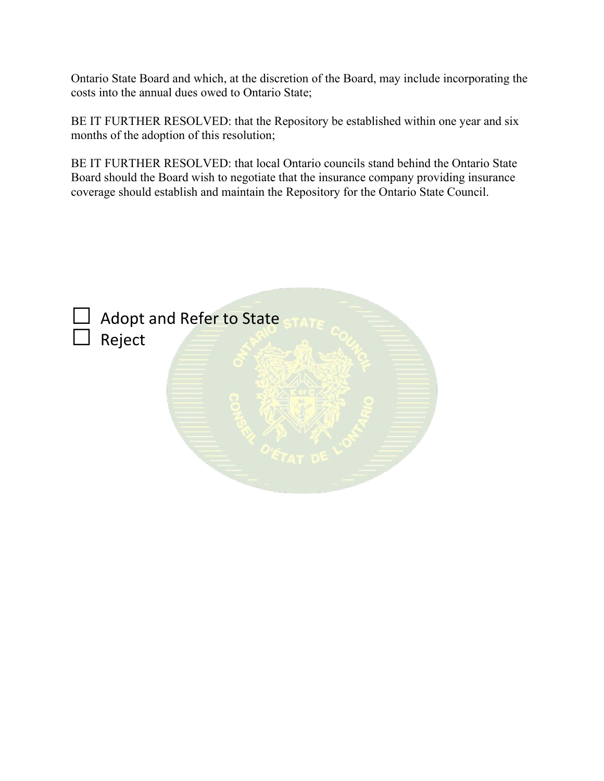Ontario State Board and which, at the discretion of the Board, may include incorporating the costs into the annual dues owed to Ontario State;

BE IT FURTHER RESOLVED: that the Repository be established within one year and six months of the adoption of this resolution;

BE IT FURTHER RESOLVED: that local Ontario councils stand behind the Ontario State Board should the Board wish to negotiate that the insurance company providing insurance coverage should establish and maintain the Repository for the Ontario State Council.

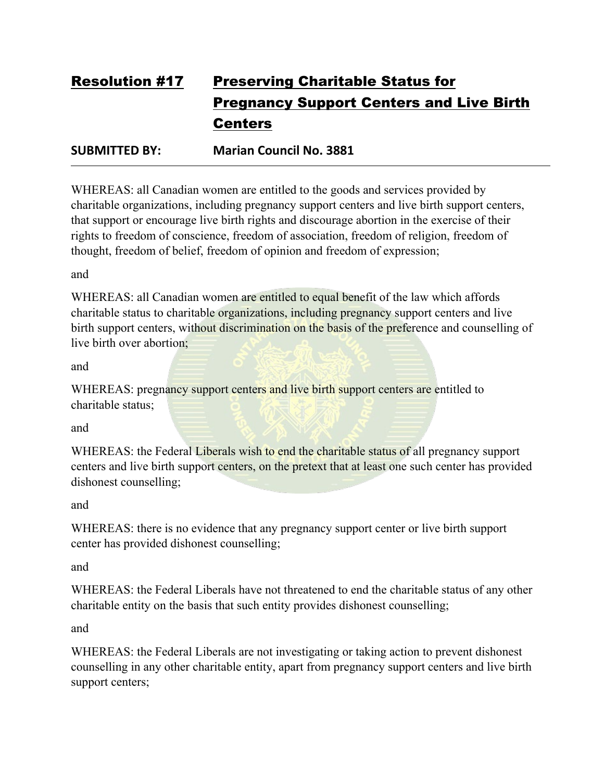# Resolution #17 Preserving Charitable Status for Pregnancy Support Centers and Live Birth **Centers**

**SUBMITTED BY: Marian Council No. 3881**

WHEREAS: all Canadian women are entitled to the goods and services provided by charitable organizations, including pregnancy support centers and live birth support centers, that support or encourage live birth rights and discourage abortion in the exercise of their rights to freedom of conscience, freedom of association, freedom of religion, freedom of thought, freedom of belief, freedom of opinion and freedom of expression;

and

WHEREAS: all Canadian women are entitled to equal benefit of the law which affords charitable status to charitable organizations, including pregnancy support centers and live birth support centers, without discrimination on the basis of the preference and counselling of live birth over abortion;

and

WHEREAS: pregnancy support centers and live birth support centers are entitled to charitable status;

and

WHEREAS: the Federal Liberals wish to end the charitable status of all pregnancy support centers and live birth support centers, on the pretext that at least one such center has provided dishonest counselling;

and

WHEREAS: there is no evidence that any pregnancy support center or live birth support center has provided dishonest counselling;

and

WHEREAS: the Federal Liberals have not threatened to end the charitable status of any other charitable entity on the basis that such entity provides dishonest counselling;

and

WHEREAS: the Federal Liberals are not investigating or taking action to prevent dishonest counselling in any other charitable entity, apart from pregnancy support centers and live birth support centers;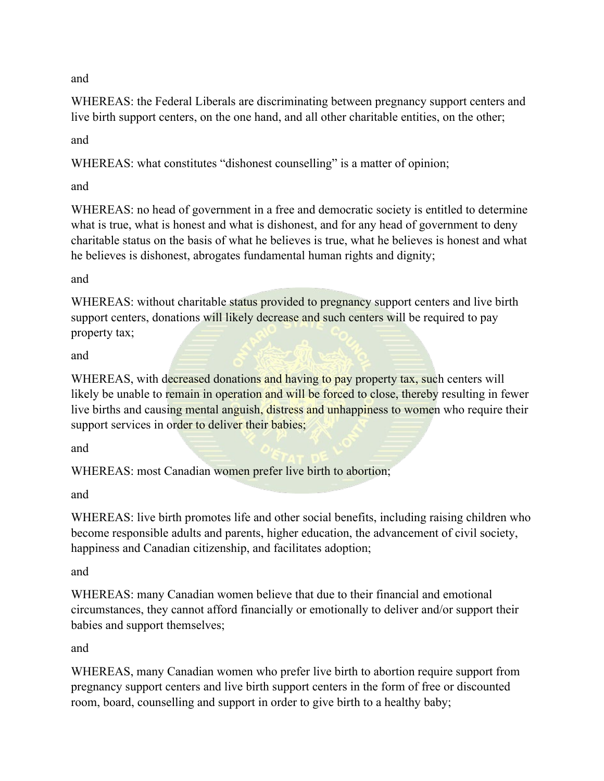and

WHEREAS: the Federal Liberals are discriminating between pregnancy support centers and live birth support centers, on the one hand, and all other charitable entities, on the other;

and

WHEREAS: what constitutes "dishonest counselling" is a matter of opinion;

and

WHEREAS: no head of government in a free and democratic society is entitled to determine what is true, what is honest and what is dishonest, and for any head of government to deny charitable status on the basis of what he believes is true, what he believes is honest and what he believes is dishonest, abrogates fundamental human rights and dignity;

and

WHEREAS: without charitable status provided to pregnancy support centers and live birth support centers, donations will likely decrease and such centers will be required to pay property tax;

and

WHEREAS, with decreased donations and having to pay property tax, such centers will likely be unable to remain in operation and will be forced to close, thereby resulting in fewer live births and causing mental anguish, distress and unhappiness to women who require their support services in order to deliver their babies;

and

WHEREAS: most Canadian women prefer live birth to abortion;

and

WHEREAS: live birth promotes life and other social benefits, including raising children who become responsible adults and parents, higher education, the advancement of civil society, happiness and Canadian citizenship, and facilitates adoption;

and

WHEREAS: many Canadian women believe that due to their financial and emotional circumstances, they cannot afford financially or emotionally to deliver and/or support their babies and support themselves;

and

WHEREAS, many Canadian women who prefer live birth to abortion require support from pregnancy support centers and live birth support centers in the form of free or discounted room, board, counselling and support in order to give birth to a healthy baby;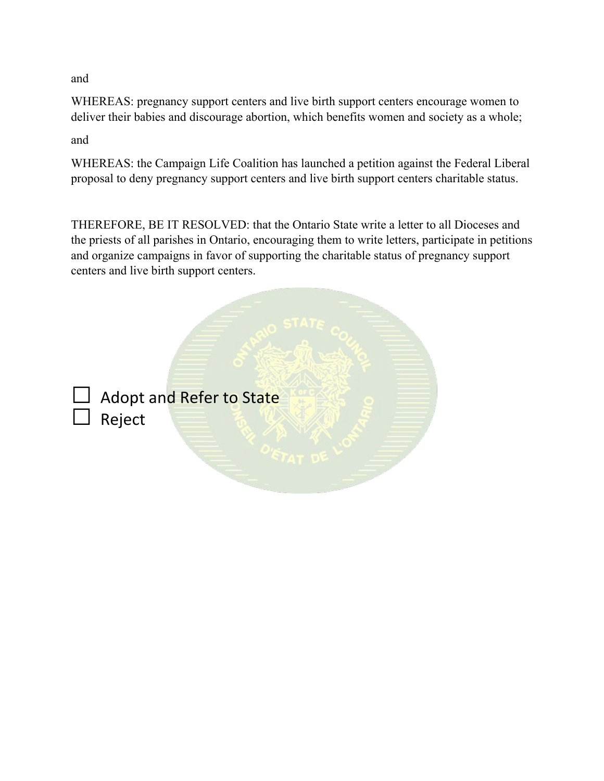and

WHEREAS: pregnancy support centers and live birth support centers encourage women to deliver their babies and discourage abortion, which benefits women and society as a whole;

and

WHEREAS: the Campaign Life Coalition has launched a petition against the Federal Liberal proposal to deny pregnancy support centers and live birth support centers charitable status.

THEREFORE, BE IT RESOLVED: that the Ontario State write a letter to all Dioceses and the priests of all parishes in Ontario, encouraging them to write letters, participate in petitions and organize campaigns in favor of supporting the charitable status of pregnancy support centers and live birth support centers.



Adopt and Refer to State **Reject**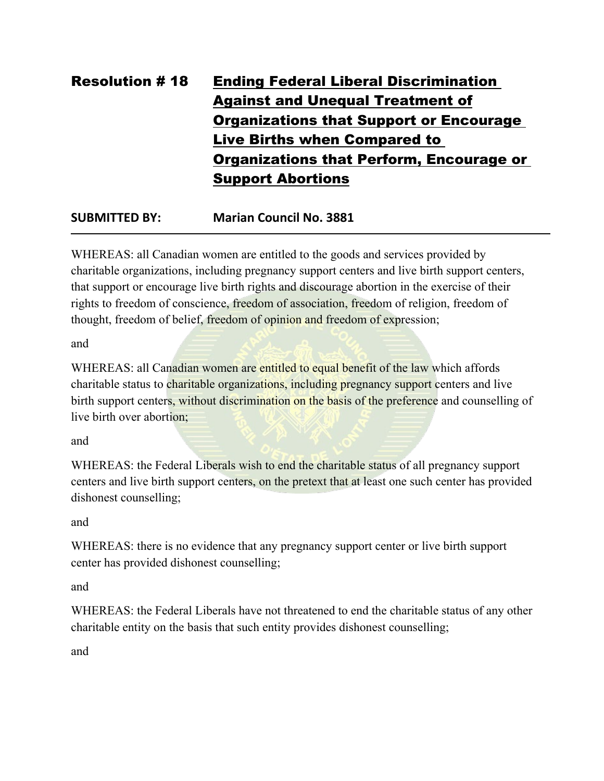# Resolution # 18 Ending Federal Liberal Discrimination Against and Unequal Treatment of Organizations that Support or Encourage Live Births when Compared to Organizations that Perform, Encourage or Support Abortions

## **SUBMITTED BY: Marian Council No. 3881**

WHEREAS: all Canadian women are entitled to the goods and services provided by charitable organizations, including pregnancy support centers and live birth support centers, that support or encourage live birth rights and discourage abortion in the exercise of their rights to freedom of conscience, freedom of association, freedom of religion, freedom of thought, freedom of belief, freedom of opinion and freedom of expression;

and

WHEREAS: all Canadian women are entitled to equal benefit of the law which affords charitable status to charitable organizations, including pregnancy support centers and live birth support centers, without discrimination on the basis of the preference and counselling of live birth over abortion;

and

WHEREAS: the Federal Liberals wish to end the charitable status of all pregnancy support centers and live birth support centers, on the pretext that at least one such center has provided dishonest counselling;

and

WHEREAS: there is no evidence that any pregnancy support center or live birth support center has provided dishonest counselling;

and

WHEREAS: the Federal Liberals have not threatened to end the charitable status of any other charitable entity on the basis that such entity provides dishonest counselling;

and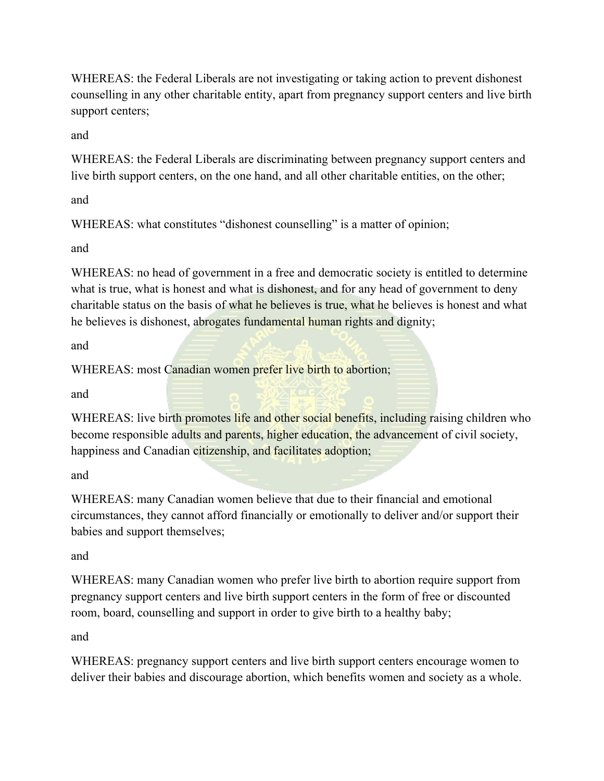WHEREAS: the Federal Liberals are not investigating or taking action to prevent dishonest counselling in any other charitable entity, apart from pregnancy support centers and live birth support centers;

and

WHEREAS: the Federal Liberals are discriminating between pregnancy support centers and live birth support centers, on the one hand, and all other charitable entities, on the other;

and

WHEREAS: what constitutes "dishonest counselling" is a matter of opinion;

and

WHEREAS: no head of government in a free and democratic society is entitled to determine what is true, what is honest and what is dishonest, and for any head of government to deny charitable status on the basis of what he believes is true, what he believes is honest and what he believes is dishonest, abrogates fundamental human rights and dignity;

and

WHEREAS: most Canadian women prefer live birth to abortion;

and

WHEREAS: live birth promotes life and other social benefits, including raising children who become responsible adults and parents, higher education, the advancement of civil society, happiness and Canadian citizenship, and facilitates adoption;

and

WHEREAS: many Canadian women believe that due to their financial and emotional circumstances, they cannot afford financially or emotionally to deliver and/or support their babies and support themselves;

and

WHEREAS: many Canadian women who prefer live birth to abortion require support from pregnancy support centers and live birth support centers in the form of free or discounted room, board, counselling and support in order to give birth to a healthy baby;

and

WHEREAS: pregnancy support centers and live birth support centers encourage women to deliver their babies and discourage abortion, which benefits women and society as a whole.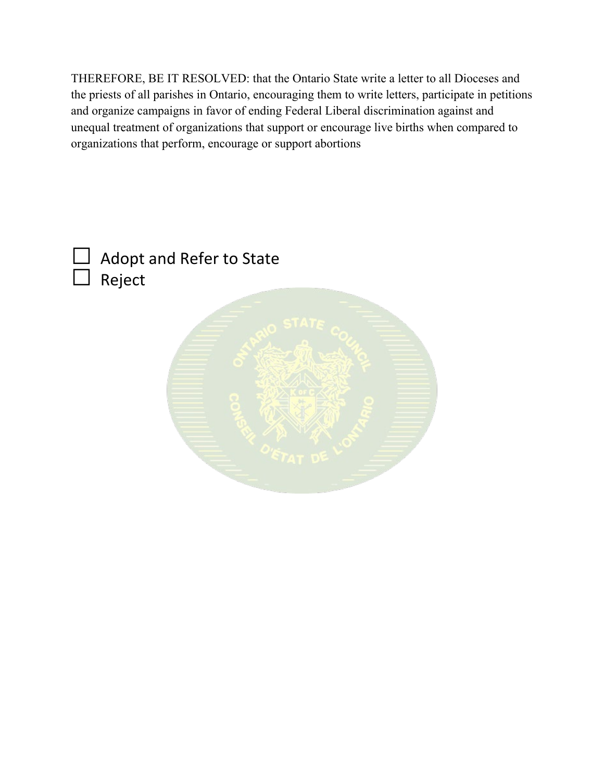THEREFORE, BE IT RESOLVED: that the Ontario State write a letter to all Dioceses and the priests of all parishes in Ontario, encouraging them to write letters, participate in petitions and organize campaigns in favor of ending Federal Liberal discrimination against and unequal treatment of organizations that support or encourage live births when compared to organizations that perform, encourage or support abortions

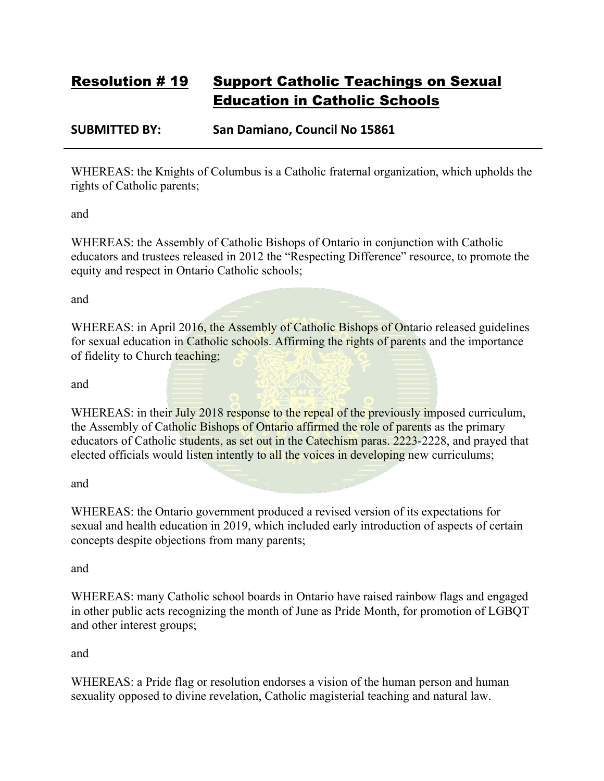## Resolution # 19 Support Catholic Teachings on Sexual Education in Catholic Schools

### **SUBMITTED BY: San Damiano, Council No 15861**

WHEREAS: the Knights of Columbus is a Catholic fraternal organization, which upholds the rights of Catholic parents;

and

WHEREAS: the Assembly of Catholic Bishops of Ontario in conjunction with Catholic educators and trustees released in 2012 the "Respecting Difference" resource, to promote the equity and respect in Ontario Catholic schools;

and

WHEREAS: in April 2016, the Assembly of Catholic Bishops of Ontario released guidelines for sexual education in Catholic schools. Affirming the rights of parents and the importance of fidelity to Church teaching;

and

WHEREAS: in their July 2018 response to the repeal of the previously imposed curriculum, the Assembly of Catholic Bishops of Ontario affirmed the role of parents as the primary educators of Catholic students, as set out in the Catechism paras. 2223-2228, and prayed that elected officials would listen intently to all the voices in developing new curriculums;

and

WHEREAS: the Ontario government produced a revised version of its expectations for sexual and health education in 2019, which included early introduction of aspects of certain concepts despite objections from many parents;

and

WHEREAS: many Catholic school boards in Ontario have raised rainbow flags and engaged in other public acts recognizing the month of June as Pride Month, for promotion of LGBQT and other interest groups;

and

WHEREAS: a Pride flag or resolution endorses a vision of the human person and human sexuality opposed to divine revelation, Catholic magisterial teaching and natural law.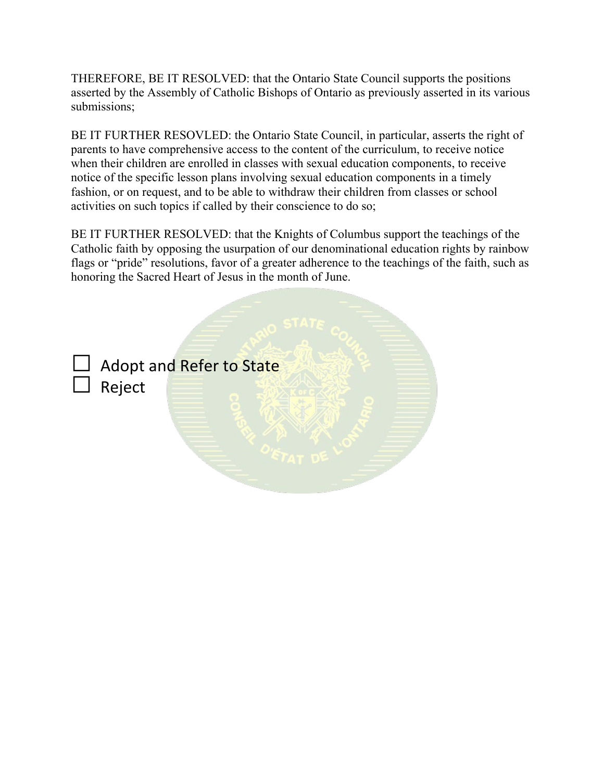THEREFORE, BE IT RESOLVED: that the Ontario State Council supports the positions asserted by the Assembly of Catholic Bishops of Ontario as previously asserted in its various submissions;

BE IT FURTHER RESOVLED: the Ontario State Council, in particular, asserts the right of parents to have comprehensive access to the content of the curriculum, to receive notice when their children are enrolled in classes with sexual education components, to receive notice of the specific lesson plans involving sexual education components in a timely fashion, or on request, and to be able to withdraw their children from classes or school activities on such topics if called by their conscience to do so;

BE IT FURTHER RESOLVED: that the Knights of Columbus support the teachings of the Catholic faith by opposing the usurpation of our denominational education rights by rainbow flags or "pride" resolutions, favor of a greater adherence to the teachings of the faith, such as honoring the Sacred Heart of Jesus in the month of June.

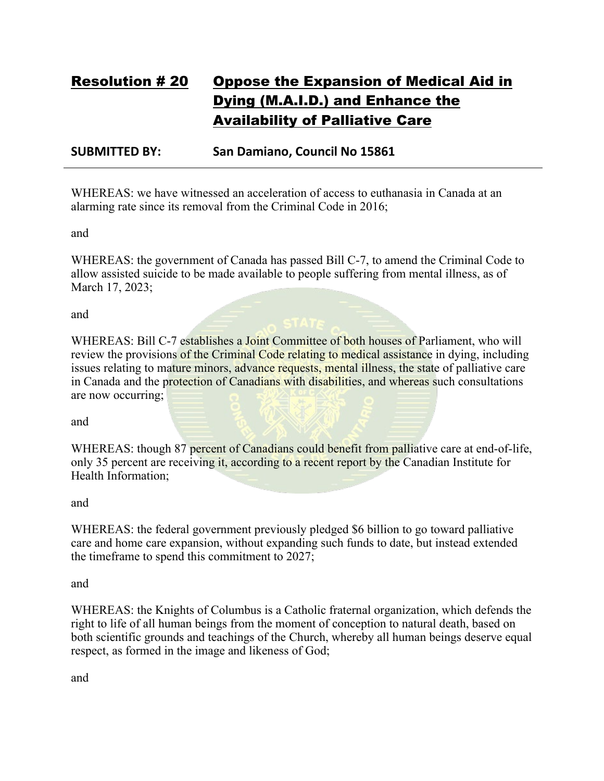# Resolution # 20 Oppose the Expansion of Medical Aid in Dying (M.A.I.D.) and Enhance the Availability of Palliative Care

#### **SUBMITTED BY: San Damiano, Council No 15861**

WHEREAS: we have witnessed an acceleration of access to euthanasia in Canada at an alarming rate since its removal from the Criminal Code in 2016;

and

WHEREAS: the government of Canada has passed Bill C-7, to amend the Criminal Code to allow assisted suicide to be made available to people suffering from mental illness, as of March 17, 2023;

and

WHEREAS: Bill C-7 establishes a Joint Committee of both houses of Parliament, who will review the provisions of the Criminal Code relating to medical assistance in dying, including issues relating to mature minors, advance requests, mental illness, the state of palliative care in Canada and the protection of Canadians with disabilities, and whereas such consultations are now occurring;

and

WHEREAS: though 87 percent of Canadians could benefit from palliative care at end-of-life, only 35 percent are receiving it, according to a recent report by the Canadian Institute for Health Information;

and

WHEREAS: the federal government previously pledged \$6 billion to go toward palliative care and home care expansion, without expanding such funds to date, but instead extended the timeframe to spend this commitment to 2027;

and

WHEREAS: the Knights of Columbus is a Catholic fraternal organization, which defends the right to life of all human beings from the moment of conception to natural death, based on both scientific grounds and teachings of the Church, whereby all human beings deserve equal respect, as formed in the image and likeness of God;

and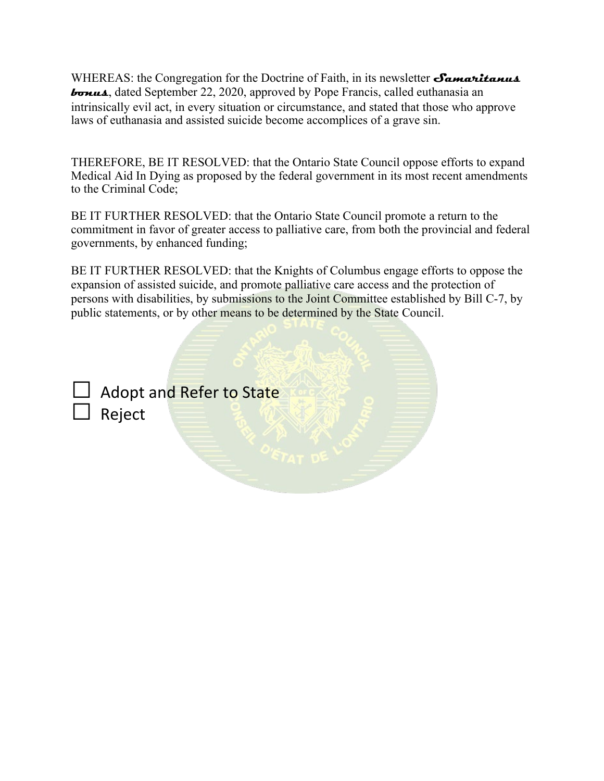WHEREAS: the Congregation for the Doctrine of Faith, in its newsletter **Samaritanus bonus**, dated September 22, 2020, approved by Pope Francis, called euthanasia an intrinsically evil act, in every situation or circumstance, and stated that those who approve laws of euthanasia and assisted suicide become accomplices of a grave sin.

THEREFORE, BE IT RESOLVED: that the Ontario State Council oppose efforts to expand Medical Aid In Dying as proposed by the federal government in its most recent amendments to the Criminal Code;

BE IT FURTHER RESOLVED: that the Ontario State Council promote a return to the commitment in favor of greater access to palliative care, from both the provincial and federal governments, by enhanced funding;

BE IT FURTHER RESOLVED: that the Knights of Columbus engage efforts to oppose the expansion of assisted suicide, and promote palliative care access and the protection of persons with disabilities, by submissions to the Joint Committee established by Bill C-7, by public statements, or by other means to be determined by the State Council.



Adopt and Refer to State □ Reject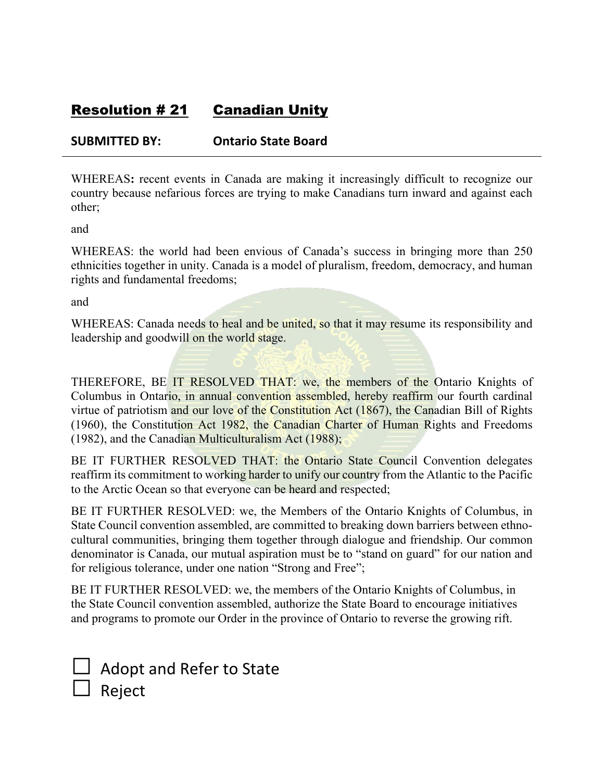## Resolution # 21 Canadian Unity

### **SUBMITTED BY: Ontario State Board**

WHEREAS**:** recent events in Canada are making it increasingly difficult to recognize our country because nefarious forces are trying to make Canadians turn inward and against each other;

and

WHEREAS: the world had been envious of Canada's success in bringing more than 250 ethnicities together in unity. Canada is a model of pluralism, freedom, democracy, and human rights and fundamental freedoms;

and

WHEREAS: Canada needs to heal and be united, so that it may resume its responsibility and leadership and goodwill on the world stage.

THEREFORE, BE IT RESOLVED THAT: we, the members of the Ontario Knights of Columbus in Ontario, in annual convention assembled, hereby reaffirm our fourth cardinal virtue of patriotism and our love of the Constitution Act (1867), the Canadian Bill of Rights (1960), the Constitution Act 1982, the Canadian Charter of Human Rights and Freedoms (1982), and the Canadian Multiculturalism Act (1988);

BE IT FURTHER RESOLVED THAT: the Ontario State Council Convention delegates reaffirm its commitment to working harder to unify our country from the Atlantic to the Pacific to the Arctic Ocean so that everyone can be heard and respected;

BE IT FURTHER RESOLVED: we, the Members of the Ontario Knights of Columbus, in State Council convention assembled, are committed to breaking down barriers between ethnocultural communities, bringing them together through dialogue and friendship. Our common denominator is Canada, our mutual aspiration must be to "stand on guard" for our nation and for religious tolerance, under one nation "Strong and Free";

BE IT FURTHER RESOLVED: we, the members of the Ontario Knights of Columbus, in the State Council convention assembled, authorize the State Board to encourage initiatives and programs to promote our Order in the province of Ontario to reverse the growing rift.

| $\Box$ Adopt and Refer to State |
|---------------------------------|
| $\Box$ Reject                   |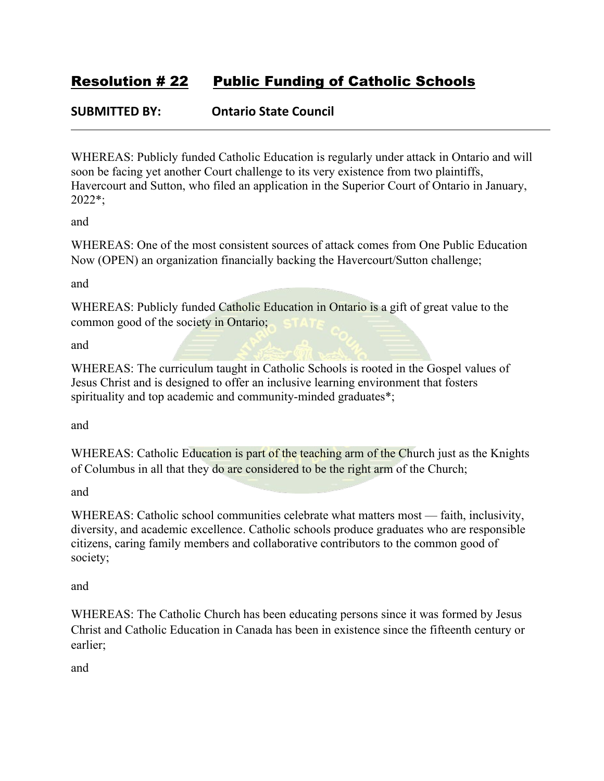## Resolution # 22 Public Funding of Catholic Schools

### **SUBMITTED BY: Ontario State Council**

WHEREAS: Publicly funded Catholic Education is regularly under attack in Ontario and will soon be facing yet another Court challenge to its very existence from two plaintiffs, Havercourt and Sutton, who filed an application in the Superior Court of Ontario in January, 2022\*;

and

WHEREAS: One of the most consistent sources of attack comes from One Public Education Now (OPEN) an organization financially backing the Havercourt/Sutton challenge;

and

WHEREAS: Publicly funded Catholic Education in Ontario is a gift of great value to the common good of the society in Ontario;

and

WHEREAS: The curriculum taught in Catholic Schools is rooted in the Gospel values of Jesus Christ and is designed to offer an inclusive learning environment that fosters spirituality and top academic and community-minded graduates\*;

and

WHEREAS: Catholic Education is part of the teaching arm of the Church just as the Knights of Columbus in all that they do are considered to be the right arm of the Church;

and

WHEREAS: Catholic school communities celebrate what matters most — faith, inclusivity, diversity, and academic excellence. Catholic schools produce graduates who are responsible citizens, caring family members and collaborative contributors to the common good of society;

and

WHEREAS: The Catholic Church has been educating persons since it was formed by Jesus Christ and Catholic Education in Canada has been in existence since the fifteenth century or earlier;

and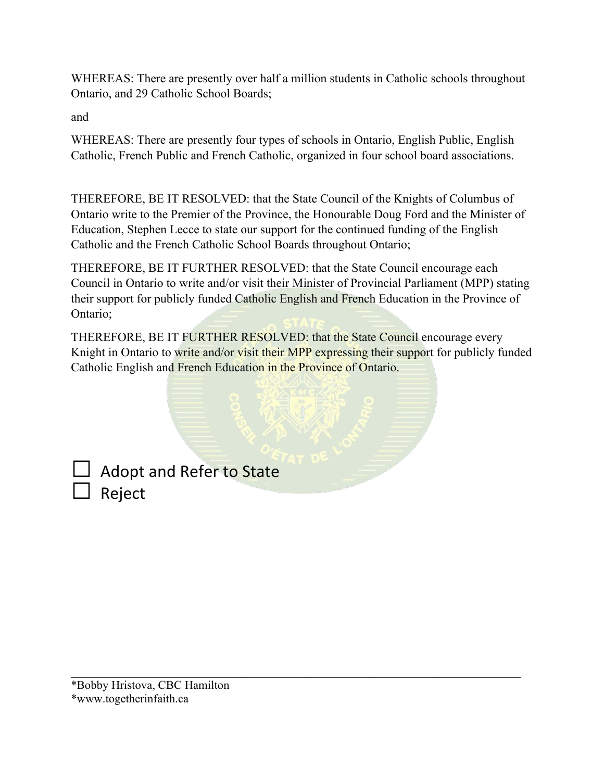WHEREAS: There are presently over half a million students in Catholic schools throughout Ontario, and 29 Catholic School Boards;

and

WHEREAS: There are presently four types of schools in Ontario, English Public, English Catholic, French Public and French Catholic, organized in four school board associations.

THEREFORE, BE IT RESOLVED: that the State Council of the Knights of Columbus of Ontario write to the Premier of the Province, the Honourable Doug Ford and the Minister of Education, Stephen Lecce to state our support for the continued funding of the English Catholic and the French Catholic School Boards throughout Ontario;

THEREFORE, BE IT FURTHER RESOLVED: that the State Council encourage each Council in Ontario to write and/or visit their Minister of Provincial Parliament (MPP) stating their support for publicly funded Catholic English and French Education in the Province of Ontario;

THEREFORE, BE IT FURTHER RESOLVED: that the State Council encourage every Knight in Ontario to write and/or visit their MPP expressing their support for publicly funded Catholic English and French Education in the Province of Ontario.

\_\_\_\_\_\_\_\_\_\_\_\_\_\_\_\_\_\_\_\_\_\_\_\_\_\_\_\_\_\_\_\_\_\_\_\_\_\_\_\_\_\_\_\_\_\_\_\_\_\_\_\_\_\_\_\_\_\_\_\_\_\_\_\_\_\_\_\_\_\_\_\_\_\_\_\_

Adopt and Refer to State  $\Box$  Reject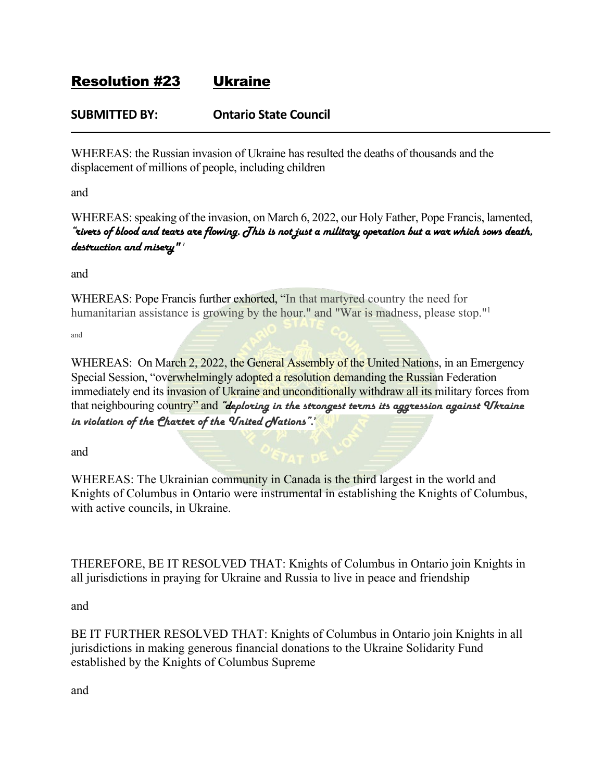## Resolution #23 Ukraine

### **SUBMITTED BY: Ontario State Council**

WHEREAS: the Russian invasion of Ukraine has resulted the deaths of thousands and the displacement of millions of people, including children

and

WHEREAS: speaking of the invasion, on March 6, 2022, our Holy Father, Pope Francis, lamented, "rivers of blood and tears are flowing. This is not just a military operation but a war which sows death, destruction and misery"'

and

WHEREAS: Pope Francis further exhorted, "In that martyred country the need for humanitarian assistance is growing by the hour." and "War is madness, please stop."<sup>1</sup>

and

WHEREAS: On March 2, 2022, the General Assembly of the United Nations, in an Emergency Special Session, "overwhelmingly adopted a resolution demanding the Russian Federation immediately end its invasion of Ukraine and unconditionally withdraw all its military forces from that neighbouring country" and "deploring in the strongest terms its aggression against *Ukraine* in violation of the Charter of the  $\bm{\mathit{V}}$ nited  $\bm{\mathit{N}}$ ations".

and

WHEREAS: The Ukrainian community in Canada is the third largest in the world and Knights of Columbus in Ontario were instrumental in establishing the Knights of Columbus, with active councils, in Ukraine.

THEREFORE, BE IT RESOLVED THAT: Knights of Columbus in Ontario join Knights in all jurisdictions in praying for Ukraine and Russia to live in peace and friendship

and

BE IT FURTHER RESOLVED THAT: Knights of Columbus in Ontario join Knights in all jurisdictions in making generous financial donations to the Ukraine Solidarity Fund established by the Knights of Columbus Supreme

and